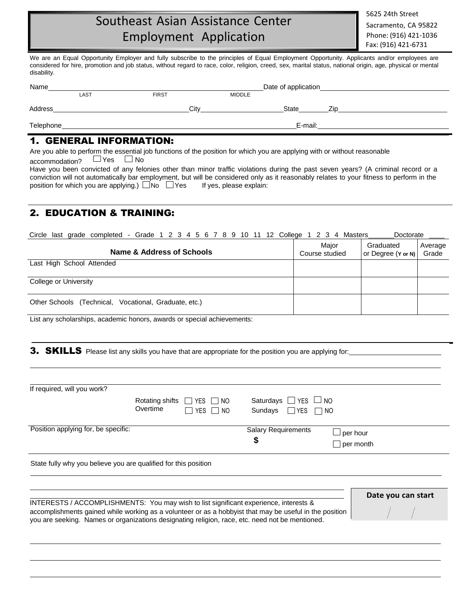# **Southeast Asian Assistance Center** 5625 24th Street Employment Application Sacramento, CA 95822 **Solutile CA 95822** Sacramento, CA 95822

We are an Equal Opportunity Employer and fully subscribe to the principles of Equal Employment Opportunity. Applicants and/or employees are considered for hire, promotion and job status, without regard to race, color, religion, creed, sex, marital status, national origin, age, physical or mental disability.

| Name      |      | Date of application |        |              |      |  |
|-----------|------|---------------------|--------|--------------|------|--|
|           | LAST | <b>FIRST</b>        | MIDDLE |              |      |  |
| Address   |      | Citv                |        | <b>State</b> | 7ir. |  |
| Telephone |      |                     |        | E-mail:      |      |  |

### 1. GENERAL INFORMATION:

Are you able to perform the essential job functions of the position for which you are applying with or without reasonable

accommodation?  $\Box$  Yes  $\Box$  No

Have you been convicted of any felonies other than minor traffic violations during the past seven years? (A criminal record or a conviction will not automatically bar employment, but will be considered only as it reasonably relates to your fitness to perform in the position for which you are applying.)  $\square$  No  $\square$  Yes If yes, please explain:

# 2. EDUCATION & TRAINING:

Circle last grade completed - Grade 1 2 3 4 5 6 7 8 9 10 11 12 College 1 2 3 4 Masters \_\_\_\_\_\_\_Doctorate

| Name & Address of Schools                             | Major<br>Course studied | Graduated<br>or Degree (Y or N) | Average<br>Grade |
|-------------------------------------------------------|-------------------------|---------------------------------|------------------|
| Last High School Attended                             |                         |                                 |                  |
| College or University                                 |                         |                                 |                  |
| Other Schools (Technical, Vocational, Graduate, etc.) |                         |                                 |                  |

List any scholarships, academic honors, awards or special achievements:

**3. SKILLS** Please list any skills you have that are appropriate for the position you are applying for:

| If required, will you work?         |          |                                                              |                                                                |                                     |
|-------------------------------------|----------|--------------------------------------------------------------|----------------------------------------------------------------|-------------------------------------|
|                                     | Overtime | Rotating shifts $\Box$ YES $\Box$ NO<br>$\Box$ YES $\Box$ NO | Saturdays $\Box$ YES $\Box$ NO<br>Sundays $\Box$ YES $\Box$ NO |                                     |
| Position applying for, be specific: |          |                                                              | <b>Salary Requirements</b><br>\$                               | $\Box$ per hour<br>$\Box$ per month |
|                                     |          | .                                                            |                                                                |                                     |

State fully why you believe you are qualified for this position

|                                                                                                         | Date you can start |
|---------------------------------------------------------------------------------------------------------|--------------------|
| INTERESTS / ACCOMPLISHMENTS: You may wish to list significant experience, interests &                   |                    |
| accomplishments gained while working as a volunteer or as a hobbyist that may be useful in the position |                    |
| you are seeking. Names or organizations designating religion, race, etc. need not be mentioned.         |                    |